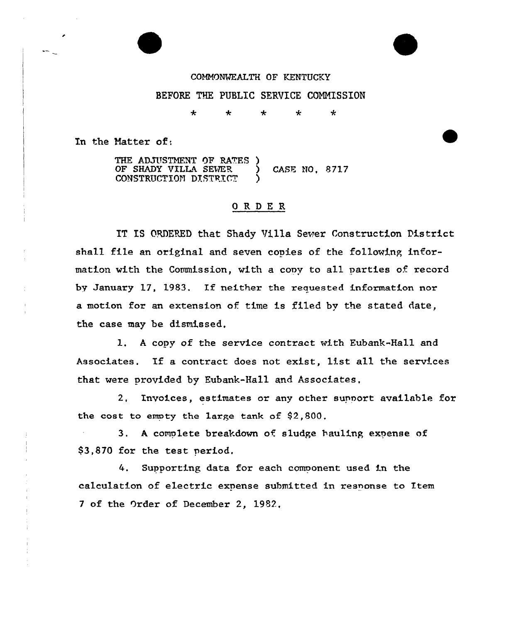## COMMONWEALTH OF KENTUCKY

## BEFORE THE PUBLIC SERVICE COMMISSION

 $\ddot{\textbf{r}}$ 4 ÷ ÷  $\mathbf{r}$ 

In the Natter of:

THE ADJUSTMENT OF RATES ) OF SHADY VILLA SEWER ) CASE NO, 8717 CONSTRUCTION DISTRICT

## 0 R <sup>D</sup> E R

IT IS ORDERED that Shady Villa Sewer Construction District shall file an original and seven copies of the following information with the Commission, with a copy to all parties of record by January 17, 1983. If neither the reauested information nor a motion for an extension of time is filed by the stated date, the case may be dismissed.

1, <sup>A</sup> copy of the service contract with Eubank-Hall and Associates. If <sup>a</sup> contract does not exist, list all the services that were provided by Eubank-Hall and Associates.

2. Invoices, estimates or any other support available for the cost to empty the large tank of  $$2,800$ .

3. <sup>A</sup> complete breakdown of sludge hauling expense of \$3,870 for the test period,

4. Supporting data for each comoonent used in the calculation of electric expense submitted in response to Item <sup>7</sup> of the Order of December 2, 1982,